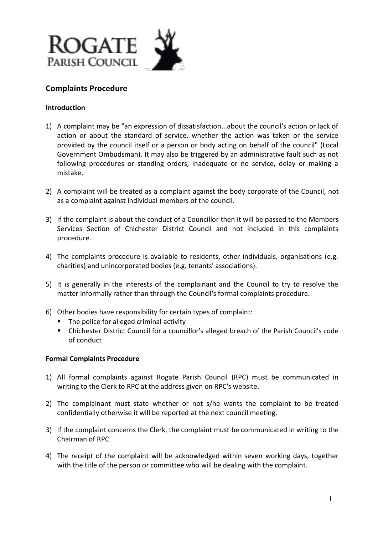

## **Complaints Procedure**

## **Introduction**

- 1) A complaint may be "an expression of dissatisfaction...about the council's action or lack of action or about the standard of service, whether the action was taken or the service provided by the council itself or a person or body acting on behalf of the council" (Local Government Ombudsman). It may also be triggered by an administrative fault such as not following procedures or standing orders, inadequate or no service, delay or making a mistake.
- 2) A complaint will be treated as a complaint against the body corporate of the Council, not as a complaint against individual members of the council.
- 3) If the complaint is about the conduct of a Councillor then it will be passed to the Members Services Section of Chichester District Council and not included in this complaints procedure.
- 4) The complaints procedure is available to residents, other individuals, organisations (e.g. charities) and unincorporated bodies (e.g. tenants' associations).
- 5) It is generally in the interests of the complainant and the Council to try to resolve the matter informally rather than through the Council's formal complaints procedure.
- 6) Other bodies have responsibility for certain types of complaint:
	- The police for alleged criminal activity
	- Chichester District Council for a councillor's alleged breach of the Parish Council's code of conduct

## **Formal Complaints Procedure**

- 1) All formal complaints against Rogate Parish Council (RPC) must be communicated in writing to the Clerk to RPC at the address given on RPC's website.
- 2) The complainant must state whether or not s/he wants the complaint to be treated confidentially otherwise it will be reported at the next council meeting.
- 3) If the complaint concerns the Clerk, the complaint must be communicated in writing to the Chairman of RPC.
- 4) The receipt of the complaint will be acknowledged within seven working days, together with the title of the person or committee who will be dealing with the complaint.